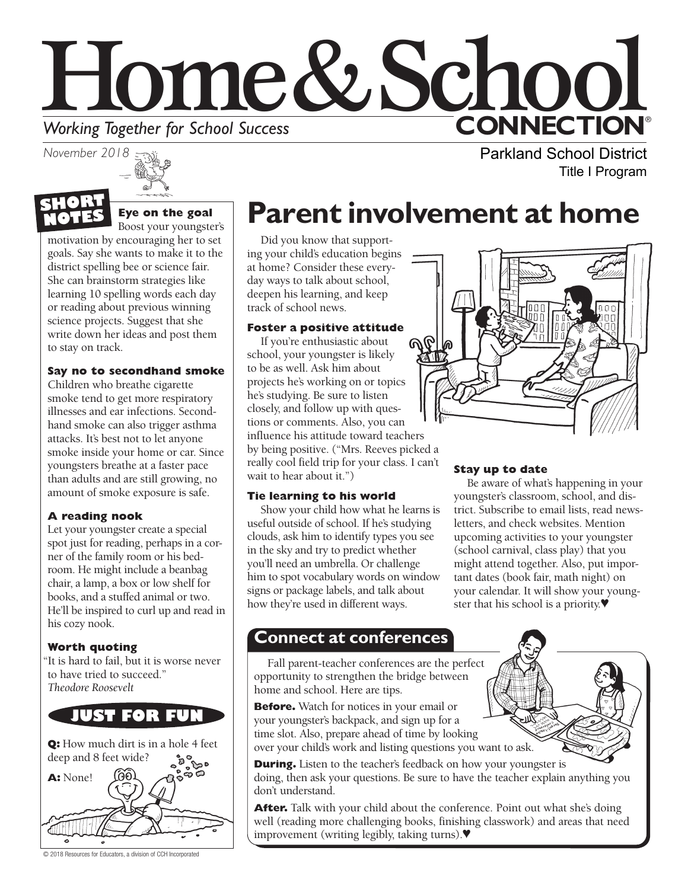



#### **Eye on the goal**  Boost your youngster's

motivation by encouraging her to set goals. Say she wants to make it to the district spelling bee or science fair. She can brainstorm strategies like learning 10 spelling words each day or reading about previous winning science projects. Suggest that she write down her ideas and post them to stay on track.

### **Say no to secondhand smoke**

Children who breathe cigarette smoke tend to get more respiratory illnesses and ear infections. Secondhand smoke can also trigger asthma attacks. It's best not to let anyone smoke inside your home or car. Since youngsters breathe at a faster pace than adults and are still growing, no amount of smoke exposure is safe.

### **A reading nook**

Let your youngster create a special spot just for reading, perhaps in a corner of the family room or his bedroom. He might include a beanbag chair, a lamp, a box or low shelf for books, and a stuffed animal or two. He'll be inspired to curl up and read in his cozy nook.

### **Worth quoting**

"It is hard to fail, but it is worse never to have tried to succeed." *Theodore Roosevelt*



**Q:** How much dirt is in a hole 4 feet deep and 8 feet wide?



© 2018 Resources for Educators, a division of CCH Incorporated

# **Parent involvement at home**

Did you know that supporting your child's education begins at home? Consider these everyday ways to talk about school, deepen his learning, and keep track of school news.

### **Foster a positive attitude**

If you're enthusiastic about school, your youngster is likely to be as well. Ask him about projects he's working on or topics he's studying. Be sure to listen closely, and follow up with questions or comments. Also, you can influence his attitude toward teachers by being positive. ("Mrs. Reeves picked a really cool field trip for your class. I can't wait to hear about it.")

### **Tie learning to his world**

Show your child how what he learns is useful outside of school. If he's studying clouds, ask him to identify types you see in the sky and try to predict whether you'll need an umbrella. Or challenge him to spot vocabulary words on window signs or package labels, and talk about how they're used in different ways.

### **Stay up to date**

Be aware of what's happening in your youngster's classroom, school, and district. Subscribe to email lists, read newsletters, and check websites. Mention upcoming activities to your youngster (school carnival, class play) that you might attend together. Also, put important dates (book fair, math night) on your calendar. It will show your youngster that his school is a priority.♥

### **Connect at conferences**

Fall parent-teacher conferences are the perfect opportunity to strengthen the bridge between home and school. Here are tips.

**Before.** Watch for notices in your email or your youngster's backpack, and sign up for a time slot. Also, prepare ahead of time by looking over your child's work and listing questions you want to ask.

**During.** Listen to the teacher's feedback on how your youngster is doing, then ask your questions. Be sure to have the teacher explain anything you don't understand.

After. Talk with your child about the conference. Point out what she's doing well (reading more challenging books, finishing classwork) and areas that need improvement (writing legibly, taking turns).♥



Parkland School District

Title I Program